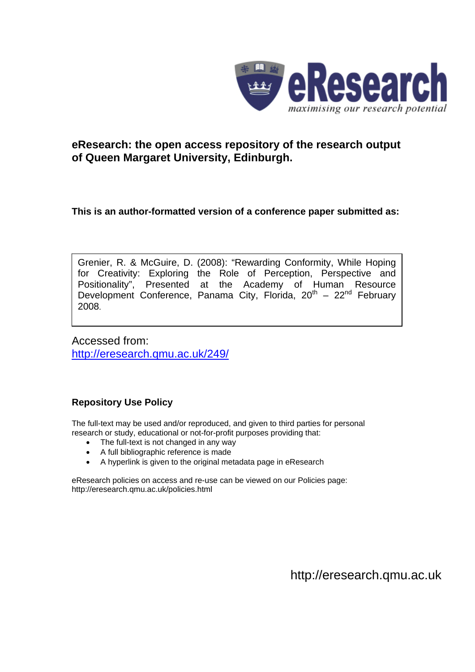

# **eResearch: the open access repository of the research output of Queen Margaret University, Edinburgh.**

# **This is an author-formatted version of a conference paper submitted as:**

Grenier, R. & McGuire, D. (2008): "Rewarding Conformity, While Hoping for Creativity: Exploring the Role of Perception, Perspective and Positionality", Presented at the Academy of Human Resource Development Conference, Panama City, Florida,  $20<sup>th</sup> - 22<sup>nd</sup>$  February 2008.

Accessed from: <http://eresearch.qmu.ac.uk/249/>

# **Repository Use Policy**

The full-text may be used and/or reproduced, and given to third parties for personal research or study, educational or not-for-profit purposes providing that:

- The full-text is not changed in any way
- A full bibliographic reference is made
- A hyperlink is given to the original metadata page in eResearch

eResearch policies on access and re-use can be viewed on our Policies page: <http://eresearch.qmu.ac.uk/policies.html>

[http://eresearch.qmu.ac.uk](http://eresearch.qmu.ac.uk/)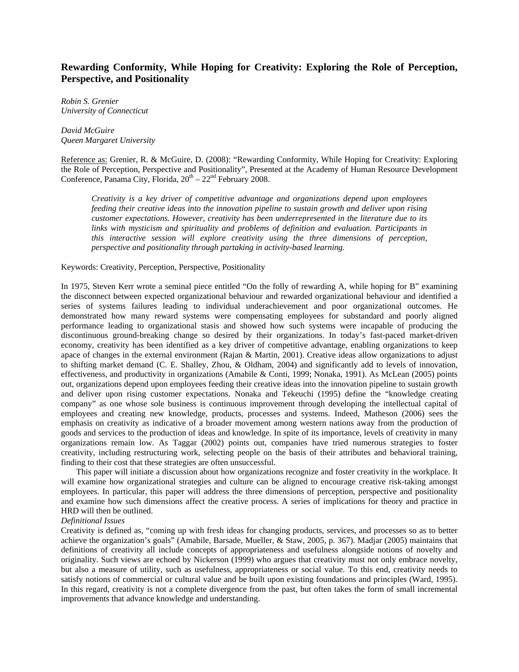# **Rewarding Conformity, While Hoping for Creativity: Exploring the Role of Perception, Perspective, and Positionality**

*Robin S. Grenier University of Connecticut* 

*David McGuire Queen Margaret University* 

Reference as: Grenier, R. & McGuire, D. (2008): "Rewarding Conformity, While Hoping for Creativity: Exploring the Role of Perception, Perspective and Positionality", Presented at the Academy of Human Resource Development Conference, Panama City, Florida,  $20^{th} - 22^{nd}$  February 2008.

*Creativity is a key driver of competitive advantage and organizations depend upon employees feeding their creative ideas into the innovation pipeline to sustain growth and deliver upon rising customer expectations. However, creativity has been underrepresented in the literature due to its links with mysticism and spirituality and problems of definition and evaluation. Participants in this interactive session will explore creativity using the three dimensions of perception, perspective and positionality through partaking in activity-based learning.* 

Keywords: Creativity, Perception, Perspective, Positionality

In 1975, Steven Kerr wrote a seminal piece entitled "On the folly of rewarding A, while hoping for B" examining the disconnect between expected organizational behaviour and rewarded organizational behaviour and identified a series of systems failures leading to individual underachievement and poor organizational outcomes. He demonstrated how many reward systems were compensating employees for substandard and poorly aligned performance leading to organizational stasis and showed how such systems were incapable of producing the discontinuous ground-breaking change so desired by their organizations. In today's fast-paced market-driven economy, creativity has been identified as a key driver of competitive advantage, enabling organizations to keep apace of changes in the external environment (Rajan & Martin, 2001). Creative ideas allow organizations to adjust to shifting market demand (C. E. Shalley, Zhou, & Oldham, 2004) and significantly add to levels of innovation, effectiveness, and productivity in organizations (Amabile & Conti, 1999; Nonaka, 1991). As McLean (2005) points out, organizations depend upon employees feeding their creative ideas into the innovation pipeline to sustain growth and deliver upon rising customer expectations. Nonaka and Tekeuchi (1995) define the "knowledge creating company" as one whose sole business is continuous improvement through developing the intellectual capital of employees and creating new knowledge, products, processes and systems. Indeed, Matheson (2006) sees the emphasis on creativity as indicative of a broader movement among western nations away from the production of goods and services to the production of ideas and knowledge. In spite of its importance, levels of creativity in many organizations remain low. As Taggar (2002) points out, companies have tried numerous strategies to foster creativity, including restructuring work, selecting people on the basis of their attributes and behavioral training, finding to their cost that these strategies are often unsuccessful.

This paper will initiate a discussion about how organizations recognize and foster creativity in the workplace. It will examine how organizational strategies and culture can be aligned to encourage creative risk-taking amongst employees. In particular, this paper will address the three dimensions of perception, perspective and positionality and examine how such dimensions affect the creative process. A series of implications for theory and practice in HRD will then be outlined.

## *Definitional Issues*

Creativity is defined as, "coming up with fresh ideas for changing products, services, and processes so as to better achieve the organization's goals" (Amabile, Barsade, Mueller, & Staw, 2005, p. 367). Madjar (2005) maintains that definitions of creativity all include concepts of appropriateness and usefulness alongside notions of novelty and originality. Such views are echoed by Nickerson (1999) who argues that creativity must not only embrace novelty, but also a measure of utility, such as usefulness, appropriateness or social value. To this end, creativity needs to satisfy notions of commercial or cultural value and be built upon existing foundations and principles (Ward, 1995). In this regard, creativity is not a complete divergence from the past, but often takes the form of small incremental improvements that advance knowledge and understanding.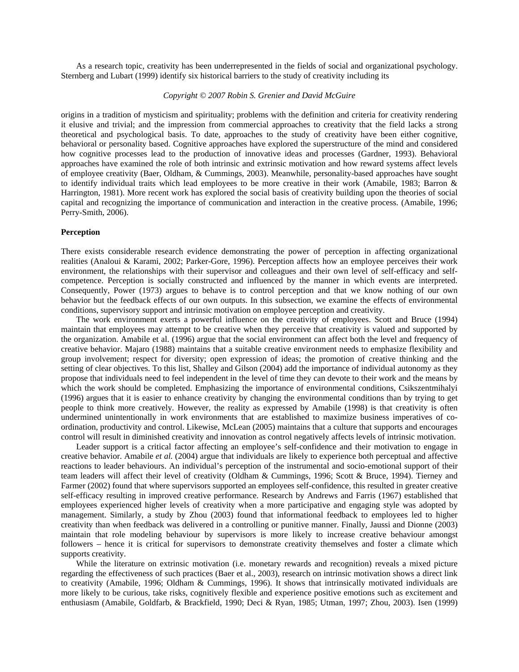As a research topic, creativity has been underrepresented in the fields of social and organizational psychology. Sternberg and Lubart (1999) identify six historical barriers to the study of creativity including its

# *Copyright © 2007 Robin S. Grenier and David McGuire*

origins in a tradition of mysticism and spirituality; problems with the definition and criteria for creativity rendering it elusive and trivial; and the impression from commercial approaches to creativity that the field lacks a strong theoretical and psychological basis. To date, approaches to the study of creativity have been either cognitive, behavioral or personality based. Cognitive approaches have explored the superstructure of the mind and considered how cognitive processes lead to the production of innovative ideas and processes (Gardner, 1993). Behavioral approaches have examined the role of both intrinsic and extrinsic motivation and how reward systems affect levels of employee creativity (Baer, Oldham, & Cummings, 2003). Meanwhile, personality-based approaches have sought to identify individual traits which lead employees to be more creative in their work (Amabile, 1983; Barron & Harrington, 1981). More recent work has explored the social basis of creativity building upon the theories of social capital and recognizing the importance of communication and interaction in the creative process. (Amabile, 1996; Perry-Smith, 2006).

### **Perception**

There exists considerable research evidence demonstrating the power of perception in affecting organizational realities (Analoui & Karami, 2002; Parker-Gore, 1996). Perception affects how an employee perceives their work environment, the relationships with their supervisor and colleagues and their own level of self-efficacy and selfcompetence. Perception is socially constructed and influenced by the manner in which events are interpreted. Consequently, Power (1973) argues to behave is to control perception and that we know nothing of our own behavior but the feedback effects of our own outputs. In this subsection, we examine the effects of environmental conditions, supervisory support and intrinsic motivation on employee perception and creativity.

The work environment exerts a powerful influence on the creativity of employees. Scott and Bruce (1994) maintain that employees may attempt to be creative when they perceive that creativity is valued and supported by the organization. Amabile et al. (1996) argue that the social environment can affect both the level and frequency of creative behavior. Majaro (1988) maintains that a suitable creative environment needs to emphasize flexibility and group involvement; respect for diversity; open expression of ideas; the promotion of creative thinking and the setting of clear objectives. To this list, Shalley and Gilson (2004) add the importance of individual autonomy as they propose that individuals need to feel independent in the level of time they can devote to their work and the means by which the work should be completed. Emphasizing the importance of environmental conditions, Csikszentmihalyi (1996) argues that it is easier to enhance creativity by changing the environmental conditions than by trying to get people to think more creatively. However, the reality as expressed by Amabile (1998) is that creativity is often undermined unintentionally in work environments that are established to maximize business imperatives of coordination, productivity and control. Likewise, McLean (2005) maintains that a culture that supports and encourages control will result in diminished creativity and innovation as control negatively affects levels of intrinsic motivation.

Leader support is a critical factor affecting an employee's self-confidence and their motivation to engage in creative behavior. Amabile *et al.* (2004) argue that individuals are likely to experience both perceptual and affective reactions to leader behaviours. An individual's perception of the instrumental and socio-emotional support of their team leaders will affect their level of creativity (Oldham & Cummings, 1996; Scott & Bruce, 1994). Tierney and Farmer (2002) found that where supervisors supported an employees self-confidence, this resulted in greater creative self-efficacy resulting in improved creative performance. Research by Andrews and Farris (1967) established that employees experienced higher levels of creativity when a more participative and engaging style was adopted by management. Similarly, a study by Zhou (2003) found that informational feedback to employees led to higher creativity than when feedback was delivered in a controlling or punitive manner. Finally, Jaussi and Dionne (2003) maintain that role modeling behaviour by supervisors is more likely to increase creative behaviour amongst followers – hence it is critical for supervisors to demonstrate creativity themselves and foster a climate which supports creativity.

While the literature on extrinsic motivation (i.e. monetary rewards and recognition) reveals a mixed picture regarding the effectiveness of such practices (Baer et al., 2003), research on intrinsic motivation shows a direct link to creativity (Amabile, 1996; Oldham & Cummings, 1996). It shows that intrinsically motivated individuals are more likely to be curious, take risks, cognitively flexible and experience positive emotions such as excitement and enthusiasm (Amabile, Goldfarb, & Brackfield, 1990; Deci & Ryan, 1985; Utman, 1997; Zhou, 2003). Isen (1999)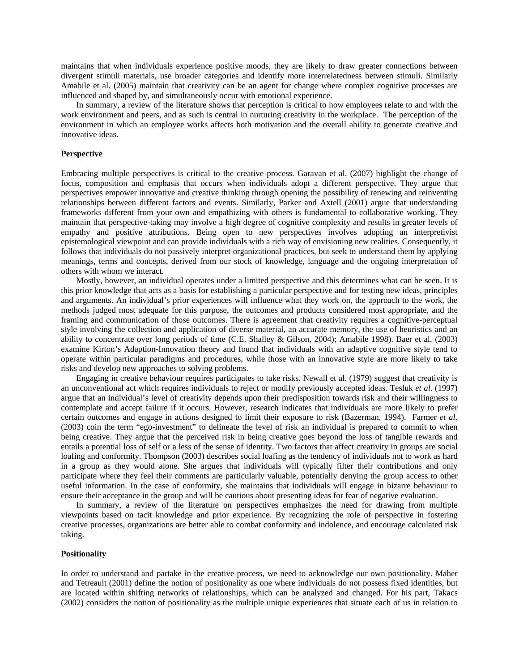maintains that when individuals experience positive moods, they are likely to draw greater connections between divergent stimuli materials, use broader categories and identify more interrelatedness between stimuli. Similarly Amabile et al. (2005) maintain that creativity can be an agent for change where complex cognitive processes are influenced and shaped by, and simultaneously occur with emotional experience.

In summary, a review of the literature shows that perception is critical to how employees relate to and with the work environment and peers, and as such is central in nurturing creativity in the workplace. The perception of the environment in which an employee works affects both motivation and the overall ability to generate creative and innovative ideas.

## **Perspective**

Embracing multiple perspectives is critical to the creative process. Garavan et al. (2007) highlight the change of focus, composition and emphasis that occurs when individuals adopt a different perspective. They argue that perspectives empower innovative and creative thinking through opening the possibility of renewing and reinventing relationships between different factors and events. Similarly, Parker and Axtell (2001) argue that understanding frameworks different from your own and empathizing with others is fundamental to collaborative working. They maintain that perspective-taking may involve a high degree of cognitive complexity and results in greater levels of empathy and positive attributions. Being open to new perspectives involves adopting an interpretivist epistemological viewpoint and can provide individuals with a rich way of envisioning new realities. Consequently, it follows that individuals do not passively interpret organizational practices, but seek to understand them by applying meanings, terms and concepts, derived from our stock of knowledge, language and the ongoing interpretation of others with whom we interact.

Mostly, however, an individual operates under a limited perspective and this determines what can be seen. It is this prior knowledge that acts as a basis for establishing a particular perspective and for testing new ideas, principles and arguments. An individual's prior experiences will influence what they work on, the approach to the work, the methods judged most adequate for this purpose, the outcomes and products considered most appropriate, and the framing and communication of those outcomes. There is agreement that creativity requires a cognitive-perceptual style involving the collection and application of diverse material, an accurate memory, the use of heuristics and an ability to concentrate over long periods of time (C.E. Shalley & Gilson, 2004); Amabile 1998). Baer et al. (2003) examine Kirton's Adaption-Innovation theory and found that individuals with an adaptive cognitive style tend to operate within particular paradigms and procedures, while those with an innovative style are more likely to take risks and develop new approaches to solving problems.

Engaging in creative behaviour requires participates to take risks. Newall et al. (1979) suggest that creativity is an unconventional act which requires individuals to reject or modify previously accepted ideas. Tesluk *et al.* (1997) argue that an individual's level of creativity depends upon their predisposition towards risk and their willingness to contemplate and accept failure if it occurs. However, research indicates that individuals are more likely to prefer certain outcomes and engage in actions designed to limit their exposure to risk (Bazerman, 1994). Farmer *et al.* (2003) coin the term "ego-investment" to delineate the level of risk an individual is prepared to commit to when being creative. They argue that the perceived risk in being creative goes beyond the loss of tangible rewards and entails a potential loss of self or a less of the sense of identity. Two factors that affect creativity in groups are social loafing and conformity. Thompson (2003) describes social loafing as the tendency of individuals not to work as hard in a group as they would alone. She argues that individuals will typically filter their contributions and only participate where they feel their comments are particularly valuable, potentially denying the group access to other useful information. In the case of conformity, she maintains that individuals will engage in bizarre behaviour to ensure their acceptance in the group and will be cautious about presenting ideas for fear of negative evaluation.

In summary, a review of the literature on perspectives emphasizes the need for drawing from multiple viewpoints based on tacit knowledge and prior experience. By recognizing the role of perspective in fostering creative processes, organizations are better able to combat conformity and indolence, and encourage calculated risk taking.

### **Positionality**

In order to understand and partake in the creative process, we need to acknowledge our own positionality. Maher and Tetreault (2001) define the notion of positionality as one where individuals do not possess fixed identities, but are located within shifting networks of relationships, which can be analyzed and changed. For his part, Takacs (2002) considers the notion of positionality as the multiple unique experiences that situate each of us in relation to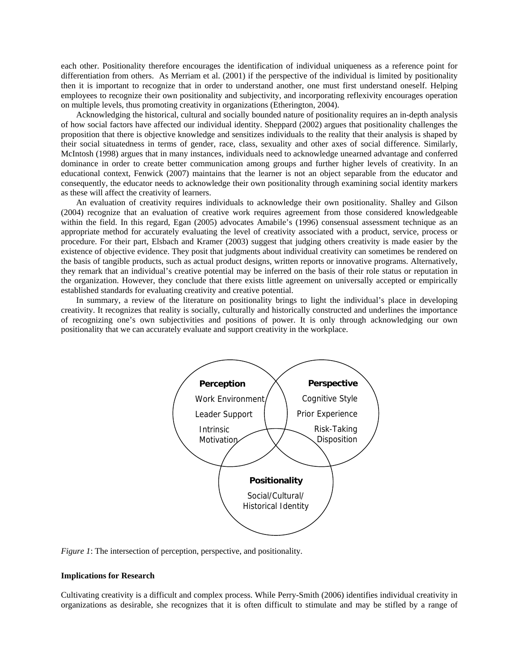each other. Positionality therefore encourages the identification of individual uniqueness as a reference point for differentiation from others. As Merriam et al. (2001) if the perspective of the individual is limited by positionality then it is important to recognize that in order to understand another, one must first understand oneself. Helping employees to recognize their own positionality and subjectivity, and incorporating reflexivity encourages operation on multiple levels, thus promoting creativity in organizations (Etherington, 2004).

Acknowledging the historical, cultural and socially bounded nature of positionality requires an in-depth analysis of how social factors have affected our individual identity. Sheppard (2002) argues that positionality challenges the proposition that there is objective knowledge and sensitizes individuals to the reality that their analysis is shaped by their social situatedness in terms of gender, race, class, sexuality and other axes of social difference. Similarly, McIntosh (1998) argues that in many instances, individuals need to acknowledge unearned advantage and conferred dominance in order to create better communication among groups and further higher levels of creativity. In an educational context, Fenwick (2007) maintains that the learner is not an object separable from the educator and consequently, the educator needs to acknowledge their own positionality through examining social identity markers as these will affect the creativity of learners.

An evaluation of creativity requires individuals to acknowledge their own positionality. Shalley and Gilson (2004) recognize that an evaluation of creative work requires agreement from those considered knowledgeable within the field. In this regard, Egan (2005) advocates Amabile's (1996) consensual assessment technique as an appropriate method for accurately evaluating the level of creativity associated with a product, service, process or procedure. For their part, Elsbach and Kramer (2003) suggest that judging others creativity is made easier by the existence of objective evidence. They posit that judgments about individual creativity can sometimes be rendered on the basis of tangible products, such as actual product designs, written reports or innovative programs. Alternatively, they remark that an individual's creative potential may be inferred on the basis of their role status or reputation in the organization. However, they conclude that there exists little agreement on universally accepted or empirically established standards for evaluating creativity and creative potential.

In summary, a review of the literature on positionality brings to light the individual's place in developing creativity. It recognizes that reality is socially, culturally and historically constructed and underlines the importance of recognizing one's own subjectivities and positions of power. It is only through acknowledging our own positionality that we can accurately evaluate and support creativity in the workplace.



*Figure 1*: The intersection of perception, perspective, and positionality.

#### **Implications for Research**

Cultivating creativity is a difficult and complex process. While Perry-Smith (2006) identifies individual creativity in organizations as desirable, she recognizes that it is often difficult to stimulate and may be stifled by a range of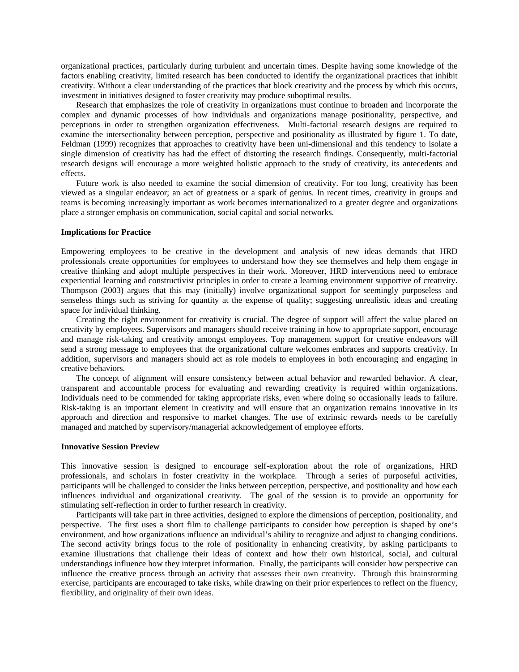organizational practices, particularly during turbulent and uncertain times. Despite having some knowledge of the factors enabling creativity, limited research has been conducted to identify the organizational practices that inhibit creativity. Without a clear understanding of the practices that block creativity and the process by which this occurs, investment in initiatives designed to foster creativity may produce suboptimal results.

Research that emphasizes the role of creativity in organizations must continue to broaden and incorporate the complex and dynamic processes of how individuals and organizations manage positionality, perspective, and perceptions in order to strengthen organization effectiveness. Multi-factorial research designs are required to examine the intersectionality between perception, perspective and positionality as illustrated by figure 1. To date, Feldman (1999) recognizes that approaches to creativity have been uni-dimensional and this tendency to isolate a single dimension of creativity has had the effect of distorting the research findings. Consequently, multi-factorial research designs will encourage a more weighted holistic approach to the study of creativity, its antecedents and effects.

Future work is also needed to examine the social dimension of creativity. For too long, creativity has been viewed as a singular endeavor; an act of greatness or a spark of genius. In recent times, creativity in groups and teams is becoming increasingly important as work becomes internationalized to a greater degree and organizations place a stronger emphasis on communication, social capital and social networks.

### **Implications for Practice**

Empowering employees to be creative in the development and analysis of new ideas demands that HRD professionals create opportunities for employees to understand how they see themselves and help them engage in creative thinking and adopt multiple perspectives in their work. Moreover, HRD interventions need to embrace experiential learning and constructivist principles in order to create a learning environment supportive of creativity. Thompson (2003) argues that this may (initially) involve organizational support for seemingly purposeless and senseless things such as striving for quantity at the expense of quality; suggesting unrealistic ideas and creating space for individual thinking.

Creating the right environment for creativity is crucial. The degree of support will affect the value placed on creativity by employees. Supervisors and managers should receive training in how to appropriate support, encourage and manage risk-taking and creativity amongst employees. Top management support for creative endeavors will send a strong message to employees that the organizational culture welcomes embraces and supports creativity. In addition, supervisors and managers should act as role models to employees in both encouraging and engaging in creative behaviors.

The concept of alignment will ensure consistency between actual behavior and rewarded behavior. A clear, transparent and accountable process for evaluating and rewarding creativity is required within organizations. Individuals need to be commended for taking appropriate risks, even where doing so occasionally leads to failure. Risk-taking is an important element in creativity and will ensure that an organization remains innovative in its approach and direction and responsive to market changes. The use of extrinsic rewards needs to be carefully managed and matched by supervisory/managerial acknowledgement of employee efforts.

### **Innovative Session Preview**

This innovative session is designed to encourage self-exploration about the role of organizations, HRD professionals, and scholars in foster creativity in the workplace. Through a series of purposeful activities, participants will be challenged to consider the links between perception, perspective, and positionality and how each influences individual and organizational creativity. The goal of the session is to provide an opportunity for stimulating self-reflection in order to further research in creativity.

Participants will take part in three activities, designed to explore the dimensions of perception, positionality, and perspective. The first uses a short film to challenge participants to consider how perception is shaped by one's environment, and how organizations influence an individual's ability to recognize and adjust to changing conditions. The second activity brings focus to the role of positionality in enhancing creativity, by asking participants to examine illustrations that challenge their ideas of context and how their own historical, social, and cultural understandings influence how they interpret information. Finally, the participants will consider how perspective can influence the creative process through an activity that assesses their own creativity. Through this brainstorming exercise, participants are encouraged to take risks, while drawing on their prior experiences to reflect on the fluency, flexibility, and originality of their own ideas.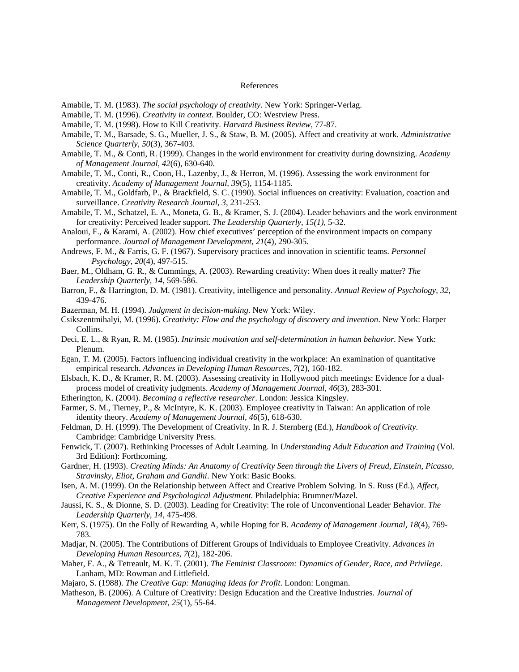#### References

Amabile, T. M. (1983). *The social psychology of creativity*. New York: Springer-Verlag.

- Amabile, T. M. (1996). *Creativity in context*. Boulder, CO: Westview Press.
- Amabile, T. M. (1998). How to Kill Creativity. *Harvard Business Review*, 77-87.
- Amabile, T. M., Barsade, S. G., Mueller, J. S., & Staw, B. M. (2005). Affect and creativity at work. *Administrative Science Quarterly, 50*(3), 367-403.
- Amabile, T. M., & Conti, R. (1999). Changes in the world environment for creativity during downsizing. *Academy of Management Journal, 42*(6), 630-640.
- Amabile, T. M., Conti, R., Coon, H., Lazenby, J., & Herron, M. (1996). Assessing the work environment for creativity. *Academy of Management Journal, 39*(5), 1154-1185.
- Amabile, T. M., Goldfarb, P., & Brackfield, S. C. (1990). Social influences on creativity: Evaluation, coaction and surveillance. *Creativity Research Journal, 3*, 231-253.
- Amabile, T. M., Schatzel, E. A., Moneta, G. B., & Kramer, S. J. (2004). Leader behaviors and the work environment for creativity: Perceived leader support. *The Leadership Quarterly, 15(1)*, 5-32.
- Analoui, F., & Karami, A. (2002). How chief executives' perception of the environment impacts on company performance. *Journal of Management Development, 21*(4), 290-305.
- Andrews, F. M., & Farris, G. F. (1967). Supervisory practices and innovation in scientific teams. *Personnel Psychology, 20*(4), 497-515.
- Baer, M., Oldham, G. R., & Cummings, A. (2003). Rewarding creativity: When does it really matter? *The Leadership Quarterly, 14*, 569-586.
- Barron, F., & Harrington, D. M. (1981). Creativity, intelligence and personality. *Annual Review of Psychology, 32*, 439-476.
- Bazerman, M. H. (1994). *Judgment in decision-making*. New York: Wiley.
- Csikszentmihalyi, M. (1996). *Creativity: Flow and the psychology of discovery and invention*. New York: Harper Collins.
- Deci, E. L., & Ryan, R. M. (1985). *Intrinsic motivation and self-determination in human behavior*. New York: Plenum.
- Egan, T. M. (2005). Factors influencing individual creativity in the workplace: An examination of quantitative empirical research. *Advances in Developing Human Resources, 7*(2), 160-182.
- Elsbach, K. D., & Kramer, R. M. (2003). Assessing creativity in Hollywood pitch meetings: Evidence for a dualprocess model of creativity judgments. *Academy of Management Journal, 46*(3), 283-301.
- Etherington, K. (2004). *Becoming a reflective researcher*. London: Jessica Kingsley.
- Farmer, S. M., Tierney, P., & McIntyre, K. K. (2003). Employee creativity in Taiwan: An application of role identity theory. *Academy of Management Journal, 46*(5), 618-630.
- Feldman, D. H. (1999). The Development of Creativity. In R. J. Sternberg (Ed.), *Handbook of Creativity*. Cambridge: Cambridge University Press.
- Fenwick, T. (2007). Rethinking Processes of Adult Learning. In *Understanding Adult Education and Training* (Vol. 3rd Edition): Forthcoming.
- Gardner, H. (1993). *Creating Minds: An Anatomy of Creativity Seen through the Livers of Freud, Einstein, Picasso, Stravinsky, Eliot, Graham and Gandhi*. New York: Basic Books.
- Isen, A. M. (1999). On the Relationship between Affect and Creative Problem Solving. In S. Russ (Ed.), *Affect, Creative Experience and Psychological Adjustment*. Philadelphia: Brumner/Mazel.
- Jaussi, K. S., & Dionne, S. D. (2003). Leading for Creativity: The role of Unconventional Leader Behavior. *The Leadership Quarterly, 14*, 475-498.
- Kerr, S. (1975). On the Folly of Rewarding A, while Hoping for B. *Academy of Management Journal, 18*(4), 769- 783.
- Madjar, N. (2005). The Contributions of Different Groups of Individuals to Employee Creativity. *Advances in Developing Human Resources, 7*(2), 182-206.
- Maher, F. A., & Tetreault, M. K. T. (2001). *The Feminist Classroom: Dynamics of Gender, Race, and Privilege*. Lanham, MD: Rowman and Littlefield.
- Majaro, S. (1988). *The Creative Gap: Managing Ideas for Profit*. London: Longman.
- Matheson, B. (2006). A Culture of Creativity: Design Education and the Creative Industries. *Journal of Management Development, 25*(1), 55-64.